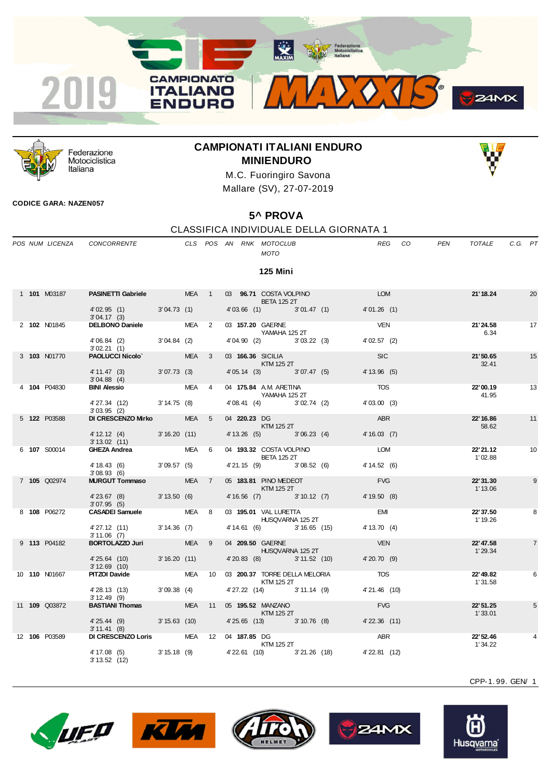



Federazione Motociclistica Italiana

## **CAMPIONATI ITALIANI ENDURO MINIENDURO**



M.C. Fuoringiro Savona Mallare (SV), 27-07-2019

## **CODICE GARA: NAZEN057**

## **5^ PROVA**

## CLASSIFICA INDIVIDUALE DELLA GIORNATA 1

|  | POS NUM LICENZA      | CONCORRENTE                                                                                                                                                                                                                         |             |            |                         |              | CLS POS AN RNK MOTOCLUB<br><b>MOTO</b>                                                                                                                                                                                                                                                                                                                                                                                                                                                                              | <b>REG</b>                   | CO.<br><b>PEN</b> | TOTALE               | C.G. PT |                |
|--|----------------------|-------------------------------------------------------------------------------------------------------------------------------------------------------------------------------------------------------------------------------------|-------------|------------|-------------------------|--------------|---------------------------------------------------------------------------------------------------------------------------------------------------------------------------------------------------------------------------------------------------------------------------------------------------------------------------------------------------------------------------------------------------------------------------------------------------------------------------------------------------------------------|------------------------------|-------------------|----------------------|---------|----------------|
|  |                      |                                                                                                                                                                                                                                     |             |            |                         |              | <b>125 Mini</b>                                                                                                                                                                                                                                                                                                                                                                                                                                                                                                     |                              |                   |                      |         |                |
|  | 1 101 M03187         | PASINETTI Gabriele MEA 1                                                                                                                                                                                                            |             |            |                         |              | 03 96.71 COSTA VOLPINO<br><b>BETA 125 2T</b>                                                                                                                                                                                                                                                                                                                                                                                                                                                                        | <b>LOM</b>                   |                   | 21' 18.24            |         | 20             |
|  |                      | $4'02.95$ (1) $3'04.73$ (1)<br>3'04.17(3)                                                                                                                                                                                           |             |            |                         |              | 4'03.66 (1) 3'01.47 (1)                                                                                                                                                                                                                                                                                                                                                                                                                                                                                             | 4'01.26(1)                   |                   |                      |         |                |
|  | 2 102 N01845         | DELBONO Daniele MEA 2                                                                                                                                                                                                               |             |            |                         |              | 03 157.20 GAERNE<br>YAMAHA 125 2T                                                                                                                                                                                                                                                                                                                                                                                                                                                                                   | <b>VEN</b>                   |                   | 21'24.58<br>6.34     |         | 17             |
|  |                      | 4'06.84 (2) 3'04.84 (2)<br>3'02.21(1)                                                                                                                                                                                               |             |            |                         |              | 4'04.90 (2) 3'03.22 (3)                                                                                                                                                                                                                                                                                                                                                                                                                                                                                             | 4'02.57(2)                   |                   |                      |         |                |
|  | 3 103 N01770         | PAOLUCCI Nicolo' MEA                                                                                                                                                                                                                |             |            | $\overline{\mathbf{3}}$ |              | 03 166.36 SICILIA<br>KTM 125 2T                                                                                                                                                                                                                                                                                                                                                                                                                                                                                     | <b>SIC</b>                   |                   | 21'50.65<br>32.41    |         | 15             |
|  |                      | $4' 11.47$ (3)<br>3'04.88(4)                                                                                                                                                                                                        | 3'07.73(3)  |            |                         |              | 4' 05.14 (3) 3' 07.47 (5)                                                                                                                                                                                                                                                                                                                                                                                                                                                                                           | 4' 13.96 (5)                 |                   |                      |         |                |
|  | 4 104 P04830         | <b>BINI Alessio</b>                                                                                                                                                                                                                 |             | <b>MEA</b> | $\overline{4}$          |              | 04 175.84 A.M. ARETINA<br>YAMAHA 125 2T                                                                                                                                                                                                                                                                                                                                                                                                                                                                             | <b>TOS</b>                   |                   | 22'00.19<br>41.95    |         | 13             |
|  |                      | 4' 27.34 (12) 3' 14.75 (8)                                                                                                                                                                                                          |             |            |                         |              | 4'08.41 (4) 3'02.74 (2)                                                                                                                                                                                                                                                                                                                                                                                                                                                                                             | 4'03.00(3)                   |                   |                      |         |                |
|  | 5 <b>122</b> P03588  | 3'03.95(2)<br>DI CRESCENZO Mirko                                                                                                                                                                                                    |             | MEA 5      |                         | 04 220.23 DG |                                                                                                                                                                                                                                                                                                                                                                                                                                                                                                                     | ABR                          |                   | 22'16.86             |         | 11             |
|  |                      | 4' 12.12 (4) 3' 16.20 (11)<br>$3'13.02$ (11)                                                                                                                                                                                        |             |            |                         |              | <b>KTM 125 2T</b><br>4' 13.26 (5) 3' 06.23 (4)                                                                                                                                                                                                                                                                                                                                                                                                                                                                      | 4'16.03(7)                   |                   | 58.62                |         |                |
|  | 6 107 S00014         | <b>GHEZA Andrea</b> by a state of the state of the state of the state of the state of the state of the state of the state of the state of the state of the state of the state of the state of the state of the state of the state o |             | MEA 6      |                         |              | 04 193.32 COSTA VOLPINO<br><b>BETA 125 2T</b>                                                                                                                                                                                                                                                                                                                                                                                                                                                                       | LOM                          |                   | 22' 21.12<br>1'02.88 |         | 10             |
|  |                      | 4' 18.43 (6)<br>3'08.93(6)                                                                                                                                                                                                          | 3'09.57(5)  |            |                         |              | $4'21.15$ (9) $3'08.52$ (6)                                                                                                                                                                                                                                                                                                                                                                                                                                                                                         | 4' 14.52 (6)                 |                   |                      |         |                |
|  | 7 105 Q02974         | <b>MURGUT Tommaso MEA</b>                                                                                                                                                                                                           |             |            | $\overline{7}$          |              | 05 183.81 PINO MEDEOT<br>$\blacksquare$ $\blacksquare$ $\blacksquare$ $\blacksquare$ $\blacksquare$ $\blacksquare$ $\blacksquare$ $\blacksquare$ $\blacksquare$ $\blacksquare$ $\blacksquare$ $\blacksquare$ $\blacksquare$ $\blacksquare$ $\blacksquare$ $\blacksquare$ $\blacksquare$ $\blacksquare$ $\blacksquare$ $\blacksquare$ $\blacksquare$ $\blacksquare$ $\blacksquare$ $\blacksquare$ $\blacksquare$ $\blacksquare$ $\blacksquare$ $\blacksquare$ $\blacksquare$ $\blacksquare$ $\blacksquare$ $\blacks$ | <b>FVG</b>                   |                   | 22'31.30<br>1'13.06  |         | 9              |
|  |                      | 4'23.67 (8) 3'13.50 (6)                                                                                                                                                                                                             |             |            |                         |              | 4' 16.56 (7) 3' 10.12 (7)                                                                                                                                                                                                                                                                                                                                                                                                                                                                                           | 4'19.50(8)                   |                   |                      |         |                |
|  | 8 108 P06272         | 3'07.95(5)<br>CASADEI Samuele MEA                                                                                                                                                                                                   |             |            | 8                       |              | 03 195.01 VAL LURETTA                                                                                                                                                                                                                                                                                                                                                                                                                                                                                               | <b>EMI</b>                   |                   | 22' 37.50            |         | 8              |
|  |                      | 4'27.12 (11) 3'14.36 (7)                                                                                                                                                                                                            |             |            |                         |              | HUSQVARNA 125 2T<br>4' 14.61 (6) 3' 16.65 (15)                                                                                                                                                                                                                                                                                                                                                                                                                                                                      | 4' 13.70 (4)                 |                   | 1' 19.26             |         |                |
|  | 9 113 P04182         | 3'11.06(7)<br>BORTOLAZZO Juri                                                                                                                                                                                                       |             | MEA 9      |                         |              | 04 209.50 GAERNE                                                                                                                                                                                                                                                                                                                                                                                                                                                                                                    | <b>VEN</b>                   |                   | 22' 47.58            |         | $\overline{7}$ |
|  |                      | 4'25.64 (10)                                                                                                                                                                                                                        | 3'16.20(11) |            |                         |              | HUSQVARNA 125 2T<br>4'20.83 (8) 3'11.52 (10)                                                                                                                                                                                                                                                                                                                                                                                                                                                                        | 4'20.70(9)                   |                   | 1'29.34              |         |                |
|  | 10 <b>110 N01667</b> | $3'12.69$ (10)<br><b>PITZOI Davide</b>                                                                                                                                                                                              |             | MEA        |                         |              | 10 03 200.37 TORRE DELLA MELORIA                                                                                                                                                                                                                                                                                                                                                                                                                                                                                    | <b>TOS</b>                   |                   | 22'49.82             |         | 6              |
|  |                      | 4'28.13 (13) 3'09.38 (4)                                                                                                                                                                                                            |             |            |                         |              | <b>KTM 125 2T</b><br>4'27.22 (14) 3'11.14 (9)                                                                                                                                                                                                                                                                                                                                                                                                                                                                       | 4'21.46 (10)                 |                   | 1'31.58              |         |                |
|  | 11 <b>109</b> Q03872 | 3'12.49(9)<br><b>BASTIANI Thomas</b> MEA                                                                                                                                                                                            |             |            |                         |              | 11    05 <b>195.52</b> MANZANO                                                                                                                                                                                                                                                                                                                                                                                                                                                                                      | <b>FVG</b>                   |                   | 22' 51.25            |         | 5              |
|  |                      | 4' 25.44 (9) 3' 15.63 (10)                                                                                                                                                                                                          |             |            |                         |              | <b>KTM 125 2T</b><br>4'25.65 (13) 3'10.76 (8)                                                                                                                                                                                                                                                                                                                                                                                                                                                                       | $4'$ 22.36 $(11)$            |                   | 1'33.01              |         |                |
|  | 12 106 P03589        | 3'11.41(8)<br>DI CRESCENZO Loris MEA 12 04 187.85 DG                                                                                                                                                                                |             |            |                         |              |                                                                                                                                                                                                                                                                                                                                                                                                                                                                                                                     | ABR                          |                   | 22' 52.46            |         |                |
|  |                      | 4' 17.08 (5) 3' 15.18 (9)<br>$3' 13.52$ (12)                                                                                                                                                                                        |             |            |                         |              | KTM 125 2T<br>4' 22.61 (10)                                                                                                                                                                                                                                                                                                                                                                                                                                                                                         | 3'21.26 (18)<br>4'22.81 (12) |                   | 1'34.22              |         |                |









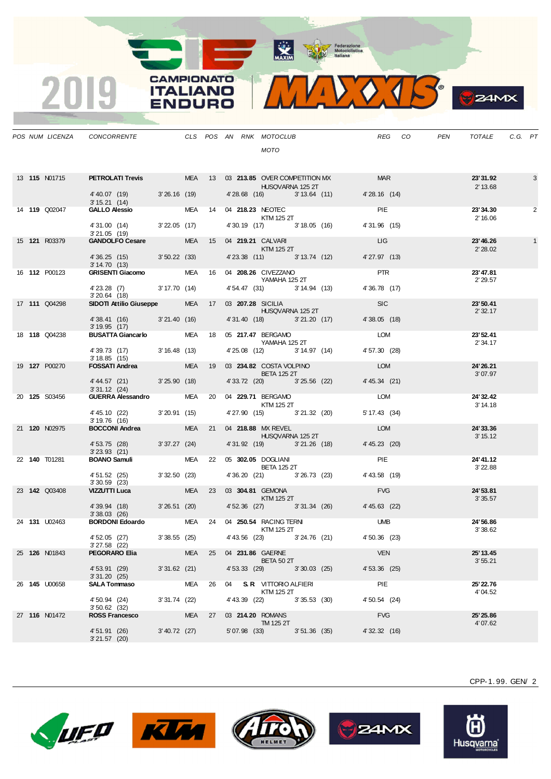

**S**ZAMX

|  |                      | POS NUM LICENZA  CONCORRENTE  CLS POS AN RNK MOTOCLUB                                                                                          |                 |  | <b>MOTO</b>                                                                                                                                                                                                                                                                                                                                                                                                                                                                                |                                                         |                             | REG CO PEN | TOTALE                | C.G. PT |   |
|--|----------------------|------------------------------------------------------------------------------------------------------------------------------------------------|-----------------|--|--------------------------------------------------------------------------------------------------------------------------------------------------------------------------------------------------------------------------------------------------------------------------------------------------------------------------------------------------------------------------------------------------------------------------------------------------------------------------------------------|---------------------------------------------------------|-----------------------------|------------|-----------------------|---------|---|
|  | 13 <b>115</b> N01715 | <b>PETROLATI Trevis MEA 13 03 213.85 OVER COMPETITION MX MAR</b><br>$4'40.07$ (19) $3'26.16$ (19) $4'28.68$ (16) $3'13.64$ (11) $4'28.16$ (14) |                 |  | <b>HUSQVARNA 125 2T</b>                                                                                                                                                                                                                                                                                                                                                                                                                                                                    |                                                         |                             |            | 23' 31.92<br>2' 13.68 |         | 3 |
|  | 14 <b>119</b> Q02047 | 3' 15.21 (14)<br><b>GALLO Alessio</b> MEA 14 04 <b>218.23</b> NEOTEC                                                                           |                 |  |                                                                                                                                                                                                                                                                                                                                                                                                                                                                                            |                                                         | <b>PIE</b>                  |            | 23'34.30              |         | 2 |
|  |                      | 4' 31.00 (14) 3' 22.05 (17) 4' 30.19 (17) 3' 18.05 (16)                                                                                        |                 |  | <b>KTM 125 2T</b>                                                                                                                                                                                                                                                                                                                                                                                                                                                                          |                                                         | 4'31.96 (15)                |            | 2' 16.06              |         |   |
|  | 15 <b>121 R03379</b> | 3'21.05(19)<br>GANDOLFO Cesare MEA 15 04 219.21 CALVARI                                                                                        |                 |  |                                                                                                                                                                                                                                                                                                                                                                                                                                                                                            |                                                         | <b>LIG</b>                  |            | 23'46.26              |         |   |
|  |                      | 4'36.25 (15) 3'50.22 (33) 4'23.38 (11) 3'13.74 (12)<br>3'14.70(13)                                                                             |                 |  | $\blacksquare$ $\blacksquare$ $\blacksquare$ $\blacksquare$ $\blacksquare$ $\blacksquare$ $\blacksquare$ $\blacksquare$ $\blacksquare$ $\blacksquare$ $\blacksquare$ $\blacksquare$ $\blacksquare$ $\blacksquare$ $\blacksquare$ $\blacksquare$ $\blacksquare$ $\blacksquare$ $\blacksquare$ $\blacksquare$ $\blacksquare$ $\blacksquare$ $\blacksquare$ $\blacksquare$ $\blacksquare$ $\blacksquare$ $\blacksquare$ $\blacksquare$ $\blacksquare$ $\blacksquare$ $\blacksquare$ $\blacks$ |                                                         | 4'27.97 (13)                |            | 2'28.02               |         |   |
|  | 16 <b>112</b> P00123 | GRISENTI Giacomo MEA 16 04 208.26 CIVEZZANO                                                                                                    |                 |  | YAMAHA 125 2T                                                                                                                                                                                                                                                                                                                                                                                                                                                                              |                                                         | <b>PTR</b>                  |            | 23'47.81<br>2' 29.57  |         |   |
|  |                      | 4'23.28 (7) 3'17.70 (14)<br>$3'20.64$ (18)                                                                                                     |                 |  |                                                                                                                                                                                                                                                                                                                                                                                                                                                                                            | 4' 54.47 (31) 3' 14.94 (13) 4' 36.78 (17)               |                             |            |                       |         |   |
|  | 17 <b>111</b> Q04298 | SIDOTI Attilio Giuseppe MEA 17 03 207.28 SICILIA                                                                                               |                 |  | <b>Example 25 HUSQVARNA 125 2T</b>                                                                                                                                                                                                                                                                                                                                                                                                                                                         |                                                         | <b>SIC</b>                  |            | 23'50.41<br>2' 32.17  |         |   |
|  |                      | 4'38.41 (16) 3'21.40 (16) 4'31.40 (18) 3'21.20 (17)<br>3' 19.95 (17)                                                                           |                 |  |                                                                                                                                                                                                                                                                                                                                                                                                                                                                                            |                                                         | 4'38.05(18)                 |            |                       |         |   |
|  | 18 <b>118 Q04238</b> | BUSATTA Giancarlo MEA 18 05 217.47 BERGAMO<br>YAMAHA 125 2T                                                                                    |                 |  |                                                                                                                                                                                                                                                                                                                                                                                                                                                                                            |                                                         | LOM                         |            | 23'52.41<br>2' 34.17  |         |   |
|  | 19 <b>127</b> P00270 | $4'39.73$ (17) $3'16.48$ (13)<br>3'18.85(15)                                                                                                   |                 |  |                                                                                                                                                                                                                                                                                                                                                                                                                                                                                            | 4'25.08 (12) 3'14.97 (14) 4'57.30 (28)                  | <b>LOM</b>                  |            |                       |         |   |
|  |                      | FOSSATI Andrea MEA 19 03 234.82 COSTA VOLPINO<br>4'44.57 (21) 3'25.90 (18) 4'33.72 (20) 3'25.56 (22)                                           |                 |  | BETA 125 2T                                                                                                                                                                                                                                                                                                                                                                                                                                                                                |                                                         | 4'45.34 (21)                |            | 24' 26.21<br>3'07.97  |         |   |
|  | 20 <b>125</b> S03456 | 3'31.12(24)<br>331.12 (24)<br><b>GUERRA Alessandro</b> MEA 20 04 <b>229.71</b> BERGAMO                                                         |                 |  |                                                                                                                                                                                                                                                                                                                                                                                                                                                                                            |                                                         | LOM                         |            | 24' 32.42             |         |   |
|  |                      | 4' 45.10 (22) 3' 20.91 (15)                                                                                                                    |                 |  | <b>KTM 125 2T</b>                                                                                                                                                                                                                                                                                                                                                                                                                                                                          | 4' 27.90 (15) 3' 21.32 (20)                             | 5' 17.43 (34)               |            | 3' 14.18              |         |   |
|  | 21 120 N02975        | 3'19.76(16)<br><b>BOCCONI Andrea</b>                                                                                                           |                 |  | MEA 21 04 218.88 MX REVEL                                                                                                                                                                                                                                                                                                                                                                                                                                                                  |                                                         | LOM                         |            | 24' 33.36             |         |   |
|  |                      | 4' 53.75 (28) 3' 37.27 (24)                                                                                                                    |                 |  | HUSQVARNA 125 2T<br>4'31.92 (19) 3'21.26 (18)                                                                                                                                                                                                                                                                                                                                                                                                                                              |                                                         | 4' 45.23 (20)               |            | 3' 15.12              |         |   |
|  | 22 <b>140</b> T01281 | $3'23.93$ $(21)$<br>BOANO Samuli MEA 22 05 302.05 DOGLIANI                                                                                     |                 |  |                                                                                                                                                                                                                                                                                                                                                                                                                                                                                            |                                                         | <b>PIE</b>                  |            | 24' 41.12             |         |   |
|  |                      | 4' 51.52 (25) 3' 32.50 (23)<br>$3'30.59$ (23)                                                                                                  |                 |  | <b>BETA 125 2T</b>                                                                                                                                                                                                                                                                                                                                                                                                                                                                         | 4' 36.20 (21) 3' 26.73 (23)                             | 4' 43.58 (19)               |            | 3' 22.88              |         |   |
|  | 23 <b>142</b> Q03408 | <b>VIZZUTTI Luca</b>                                                                                                                           | a na mata       |  | MEA 23 03 304.81 GEMONA<br>$KTM$ 125 2T                                                                                                                                                                                                                                                                                                                                                                                                                                                    |                                                         | <b>FVG</b>                  |            | 24' 53.81<br>3'35.57  |         |   |
|  |                      | 4'39.94 (18) 3'26.51 (20) 4'52.36 (27) 3'31.34 (26) 4'45.63 (22)<br>3'38.03(26)                                                                |                 |  |                                                                                                                                                                                                                                                                                                                                                                                                                                                                                            |                                                         |                             |            |                       |         |   |
|  | 24 131 U02463        | BORDONI Edoardo MEA 24 04 250.54 RACING TERNI                                                                                                  |                 |  | KTM 125 2T                                                                                                                                                                                                                                                                                                                                                                                                                                                                                 |                                                         | <b>UMB</b>                  |            | 24'56.86<br>3'38.62   |         |   |
|  |                      | 4' 52.05 (27)<br>3'27.58 (22)                                                                                                                  |                 |  |                                                                                                                                                                                                                                                                                                                                                                                                                                                                                            | 3' 38.55 (25) 4' 43.56 (23) 3' 24.76 (21) 4' 50.36 (23) |                             |            |                       |         |   |
|  | 25 <b>126</b> N01843 | PEGORARO Elia                                                                                                                                  |                 |  | MEA 25 04 231.86 GAERNE<br>BETA 50 2T                                                                                                                                                                                                                                                                                                                                                                                                                                                      |                                                         | VEN                         |            | 25' 13.45<br>3'55.21  |         |   |
|  |                      | 4' 53.91 (29)<br>3'31.20(25)                                                                                                                   | 3'31.62 (21)    |  | 4' 53.33 (29) 3' 30.03 (25)                                                                                                                                                                                                                                                                                                                                                                                                                                                                |                                                         | 4' 53.36 (25)               |            |                       |         |   |
|  | 26 145 U00658        | <b>SALA Tommaso</b>                                                                                                                            | 3' 31.74 (22)   |  | MEA 26 04 S.R. VITTORIO ALFIERI<br>KTM 125 2T<br>4' 43.39 (22) 3' 35.53 (30)                                                                                                                                                                                                                                                                                                                                                                                                               |                                                         | <b>PIE</b><br>4' 50.54 (24) |            | 25' 22.76<br>4'04.52  |         |   |
|  | 27 116 N01472        | 4' 50.94 (24)<br>$3'50.62$ (32)<br><b>ROSS Francesco</b>                                                                                       |                 |  | MEA 27 03 214.20 ROMANS                                                                                                                                                                                                                                                                                                                                                                                                                                                                    |                                                         | <b>FVG</b>                  |            | 25' 25.86             |         |   |
|  |                      | 4' 51.91 (26)<br>3'21.57(20)                                                                                                                   | $3' 40.72$ (27) |  | <b>TM 125 2T</b><br>5'07.98 (33) 3'51.36 (35)                                                                                                                                                                                                                                                                                                                                                                                                                                              |                                                         | 4' 32.32 (16)               |            | 4'07.62               |         |   |

**CAMPIONATO** 

**ITALIANO** 

**ENDURO** 

2019







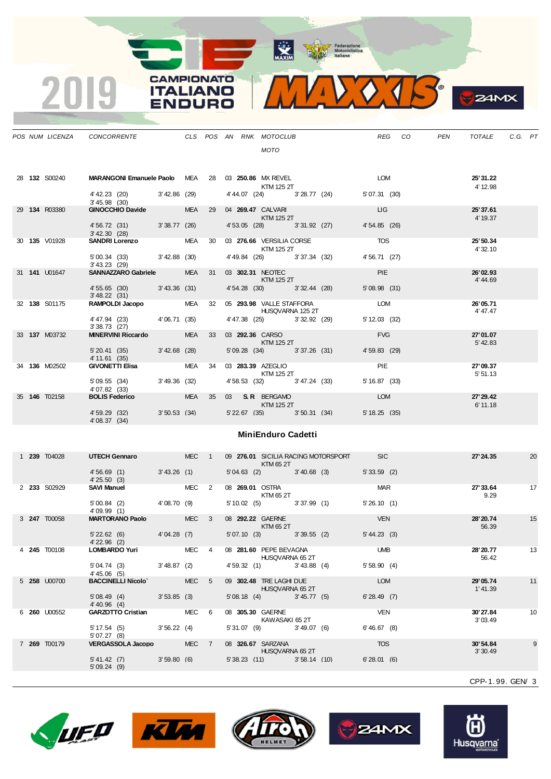MAXIM ENGINEERING

**CAMPIONATO** 

**ITALIANO** 

**ENDURO** 

 $\overline{2}$ 

|  |                      | POS NUM LICENZA CONCORRENTE CLS POS AN RNK MOTOCLUB                          |               |       |  |                                            |                |                                           | <b>REG</b>     | CO | PEN | TOTALE C.G. PT        |    |
|--|----------------------|------------------------------------------------------------------------------|---------------|-------|--|--------------------------------------------|----------------|-------------------------------------------|----------------|----|-----|-----------------------|----|
|  |                      |                                                                              |               |       |  | <b>MOTO</b>                                |                |                                           |                |    |     |                       |    |
|  |                      |                                                                              |               |       |  |                                            |                |                                           |                |    |     |                       |    |
|  | 28 <b>132</b> S00240 | <b>MARANGONI Emanuele Paolo</b> MEA 28 03 250.86 MX REVEL                    |               |       |  | <b>KTM 125 2T</b>                          |                |                                           | <b>LOM</b>     |    |     | 25'31.22<br>4' 12.98  |    |
|  |                      | 4' 42.23 (20) 3' 42.86 (29)<br>$3' 45.98$ (30)                               |               |       |  |                                            |                | 4' 44.07 (24) 3' 28.77 (24)               | 5' 07.31 (30)  |    |     |                       |    |
|  | 29 134 R03380        | GINOCCHIO Davide MEA 29 04 269.47 CALVARI<br>KTM 125 2T                      |               |       |  |                                            |                |                                           | <b>LIG</b>     |    |     | 25'37.61<br>4' 19.37  |    |
|  |                      | 4'56.72 (31) 3'38.77 (26)                                                    |               |       |  |                                            |                | 4'53.05 (28) 3'31.92 (27)                 | 4' 54.85 (26)  |    |     |                       |    |
|  | 30 <b>135</b> V01928 | 3/42.30 (28)<br><b>SANDRI Lorenzo</b> MEA 30 03 <b>276.66</b> VERSILIA CORSE |               |       |  | KTM 125 2T                                 |                |                                           | <b>TOS</b>     |    |     | 25' 50.34<br>4' 32.10 |    |
|  |                      | 5' 00.34 (33) 3' 42.88 (30)<br>$3'$ 43.23 (29)                               |               |       |  | 4' 49.84 (26) 3' 37.34 (32)                |                |                                           | 4'56.71 (27)   |    |     |                       |    |
|  | 31 <b>141</b> U01647 | SANNAZZARO Gabriele MEA 31 03 302.31 NEOTEC<br>KTM 125 2T                    |               |       |  |                                            |                |                                           | <b>PIE</b>     |    |     | 26'02.93              |    |
|  |                      | 4' 55.65 (30) 3' 43.36 (31)<br>3'48.22 (31)                                  |               |       |  |                                            |                | 4' 54.28 (30) 3' 32.44 (28)               | 5'08.98(31)    |    |     | 4'44.69               |    |
|  | 32 138 S01175        | RAMPOLDI Jacopo MEA 32 05 293.98 VALLE STAFFORA                              |               |       |  | <b>HUSQVARNA 125 2T</b>                    |                |                                           | LOM            |    |     | 26'05.71<br>4' 47.47  |    |
|  |                      | 4' 47.94 (23) 4' 06.71 (35)                                                  |               |       |  |                                            |                | 4' 47.38 (25) 3' 32.92 (29)               | 5'12.03(32)    |    |     |                       |    |
|  | 33 137 M03732        | 3'38.73(27)<br>MINERVINI Riccardo MEA 33 03 292.36 CARSO                     |               |       |  |                                            |                |                                           | <b>EVG</b>     |    |     | 27'01.07              |    |
|  |                      | 5' 20.41 (35) 3' 42.68 (28)<br>4' 11.61 (35)                                 |               |       |  | $KTM$ 125 2T                               |                | 5' 09.28 (34) 3' 37.26 (31)               | 4' 59.83 (29)  |    |     | 5' 42.83              |    |
|  | 34 136 M02502        | GIVONETTI Elisa MEA 34 03 283.39 AZEGLIO<br>KTM 125 2T                       |               |       |  |                                            |                |                                           | <b>PIE</b>     |    |     | 27'09.37<br>5' 51.13  |    |
|  |                      | 5' 09.55 (34) 3' 49.36 (32)<br>4' 07.82 (33)                                 |               |       |  |                                            |                | 4' 58.53 (32) 3' 47.24 (33) 5' 16.87 (33) |                |    |     |                       |    |
|  | 35 <b>146</b> T02158 | <b>BOLIS Federico</b> MEA 35 03 S.R. BERGAMO                                 |               |       |  | $KTM$ 125 2T                               |                |                                           | <b>LOM</b>     |    |     | 27' 29.42             |    |
|  |                      | 4' 59.29 (32) 3' 50.53 (34) 5' 22.67 (35) 3' 50.31 (34)<br>4'08.37 (34)      |               |       |  |                                            |                |                                           | 5'18.25(35)    |    |     | 6' 11.18              |    |
|  |                      |                                                                              |               |       |  | <b>MiniEnduro Cadetti</b>                  |                |                                           |                |    |     |                       |    |
|  |                      |                                                                              |               |       |  |                                            |                |                                           |                |    |     |                       |    |
|  | 1 239 T04028         | UTECH Gennaro MEC 1                                                          |               |       |  | <b>Example 18 KTM 65 2T</b>                |                | 09 276.01 SICILIA RACING MOTORSPORT SIC   |                |    |     | 27' 24.35             | 20 |
|  |                      | 4'56.69 (1) 3'43.26 (1)<br>4'25.50(3)                                        |               |       |  |                                            |                | 5'04.63 (2) 3'40.68 (3) 5'33.59 (2)       |                |    |     |                       |    |
|  | 2 233 S02929         | SAVI Manuel MEC 2                                                            |               |       |  |                                            |                | 08 269.01 OSTRA MAR<br>KTM 65 2T          |                |    |     | 27'33.64 17<br>9.29   |    |
|  |                      | $5'00.84$ (2) $4'08.70$ (9) $4'09.99$ (1)<br>4'09.99(1)                      |               |       |  |                                            |                | 5' 10.02 (5) 3' 37.99 (1) 5' 26.10 (1)    |                |    |     |                       |    |
|  | 3 247 T00058         | MARTORANO Paolo MEC 3                                                        |               |       |  | 08 292.22 GAERNE<br>KTM 65 2T              |                |                                           | <b>VEN</b>     |    |     | 28' 20.74<br>56.39    | 15 |
|  |                      | 5' 22.62 (6) 4' 04.28 (7) 5' 07.10 (3) 3' 39.55 (2) 5' 44.23 (3)             |               |       |  |                                            |                |                                           |                |    |     |                       |    |
|  | 4 <b>245</b> T00108  | $4'$ 22.96 (2)<br><b>LOMBARDO Yuri</b>                                       |               | MEC 4 |  | 08 281.60 PEPE BEVAGNA                     |                |                                           | <b>UMB</b>     |    |     | 28' 20.77             | 13 |
|  |                      | 5' 04.74 (3)<br>$4' 45.06$ (5)                                               | 3'48.87(2)    |       |  | HUSQVARNA 65 2T<br>4' 59.32 (1)            | $3' 43.88$ (4) |                                           | 5'58.90(4)     |    |     | 56.42                 |    |
|  | 5 <b>258 U00700</b>  | <b>BACCINELLI Nicolo</b>                                                     |               | MEC 5 |  | 09 302.48 TRE LAGHI DUE<br>HUSQVARNA 65 2T |                |                                           | LOM            |    |     | 29'05.74<br>1'41.39   | 11 |
|  |                      | 5'08.49(4)<br>$4' 40.96$ (4)                                                 | $3'53.85$ (3) |       |  | $5'08.18$ (4) $3'45.77$ (5)                |                |                                           | 6'28.49(7)     |    |     |                       |    |
|  | 6 260 U00552         | GARZOTTO Cristian MEC 6                                                      |               |       |  | 08 305.30 GAERNE<br>KAWASAKI 65 2T         |                |                                           | <b>VEN</b>     |    |     | 30'27.84<br>3'03.49   | 10 |
|  |                      | 5' 17.54(5)                                                                  | 3'56.22(4)    |       |  | 5'31.07(9)                                 | 3'49.07(6)     |                                           | $6' 46.67$ (8) |    |     |                       |    |
|  | 7 269 T00179         | 5'07.27(8)<br>VERGASSOLA Jacopo MEC 7                                        |               |       |  | 08 326.67 SARZANA                          |                |                                           | <b>TOS</b>     |    |     | 30'54.84              | 9  |
|  |                      | 5' 41.42 (7)<br>5'09.24(9)                                                   | 3'59.80(6)    |       |  | <b>HUSQVARNA 65 2T</b><br>5'38.23(11)      | 3'58.14(10)    |                                           | 6'28.01(6)     |    |     | 3'30.49               |    |

CPP-1. 99. GEN/ 3

 $24MX$ 









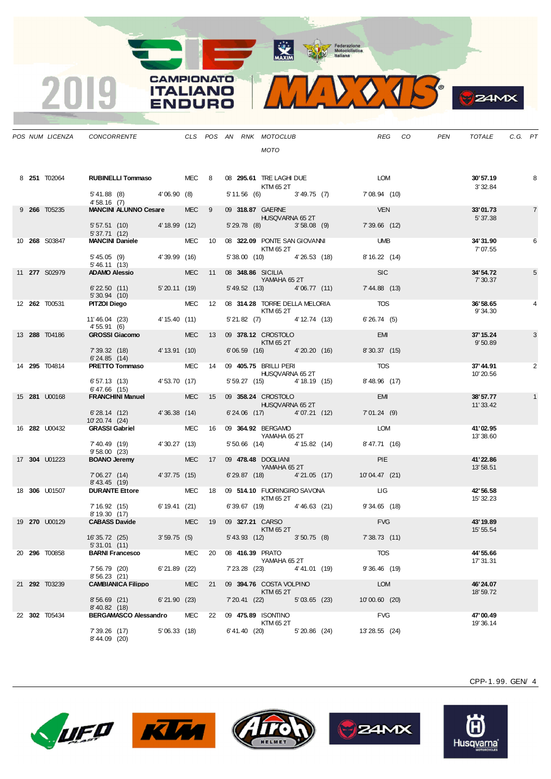MAXIM Pederazione

**CAMPIONATO** 

**ITALIANO** 

**ENDURO** 

2019



**B**ZAMX

|  | POS NUM LICENZA      | CONCORRENTE CLS POS AN RNK MOTOCLUB                                  |                           |            |    |                 |                                                   |                       | REG<br>CO <sub>.</sub> | PEN | TOTALE                 | C.G. PT |                |
|--|----------------------|----------------------------------------------------------------------|---------------------------|------------|----|-----------------|---------------------------------------------------|-----------------------|------------------------|-----|------------------------|---------|----------------|
|  |                      |                                                                      |                           |            |    |                 | MOTO                                              |                       |                        |     |                        |         |                |
|  | 8 251 T02064         | RUBINELLI Tommaso MEC 8                                              |                           |            |    |                 | 08 295.61 TRE LAGHI DUE LOM<br>KTM 65 2T          |                       |                        |     | 30'57.19<br>3' 32.84   |         | 8              |
|  |                      | $5'41.88$ (8) $4'06.90$ (8)<br>4' 58.16 (7)                          |                           |            |    |                 | 5' 11.56 (6) 3' 49.75 (7) 7' 08.94 (10)           |                       |                        |     |                        |         |                |
|  | 9 266 T05235         | <b>MANCINI ALUNNO Cesare</b>                                         |                           | MEC 9      |    |                 | 09 318.87 GAERNE<br>HUSQVARNA 65 2T               |                       | <b>VEN</b>             |     | 33'01.73<br>5'37.38    |         | $\overline{7}$ |
|  |                      | 5' 57.51 (10) 4' 18.99 (12)<br>5'37.71(12)                           | <u>a sa salawan sa sa</u> |            |    |                 | 5' 29.78 (8) 3' 58.08 (9)                         |                       | $7'39.66$ (12)         |     |                        |         |                |
|  | 10 268 S03847        | <b>MANCINI Daniele</b>                                               |                           |            |    |                 | MEC 10 08 322.09 PONTE SAN GIOVANNI<br>KTM 65 2T  |                       | <b>UMB</b>             |     | 34'31.90<br>7' 07.55   |         | 6              |
|  |                      | 5'45.05 (9) 4'39.99 (16)<br>5' 46.11 (13)                            |                           |            |    |                 | 5'38.00 (10) 4'26.53 (18)                         |                       | 8' 16.22 (14)          |     |                        |         |                |
|  | 11 277 S02979        | <b>ADAMO Alessio</b>                                                 | a na matang               | <b>MEC</b> | 11 |                 | 08 348.86 SICILIA<br>YAMAHA 65 2T                 |                       | <b>SIC</b>             |     | 34'54.72<br>7' 30.37   |         | 5              |
|  |                      | $6'$ 22.50 $(11)$<br>5' 30.94 (10)                                   | 5'20.11(19)               |            |    |                 | 5' 49.52 (13) 4' 06.77 (11) 7' 44.88 (13)         |                       |                        |     |                        |         |                |
|  | 12 <b>262</b> T00531 | PITZOI Diego                                                         |                           |            |    |                 | MEC 12 08 314.28 TORRE DELLA MELORIA<br>KTM 65 2T |                       | <b>TOS</b>             |     | 36'58.65<br>9'34.30    |         | 4              |
|  |                      | 11'46.04 (23) 4'15.40 (11)<br>4'55.91(6)                             |                           |            |    |                 | 5' 21.82 (7) 4' 12.74 (13)                        |                       | 6'26.74(5)             |     |                        |         |                |
|  | 13 288 T04186        | <b>GROSSI Giacomo</b>                                                |                           | <b>MEC</b> | 13 |                 | 09 378.12 CROSTOLO<br>KTM 65 2T                   |                       | <b>EMI</b>             |     | 37' 15.24<br>9'50.89   |         | 3              |
|  |                      | 7' 39.32 (18) 4' 13.91 (10)<br>6'24.85(14)                           |                           |            |    |                 | 6'06.59 (16) 4'20.20 (16)                         |                       | 8'30.37(15)            |     |                        |         |                |
|  | 14 295 T04814        | PRETTO Tommaso                                                       |                           | MEC 14     |    |                 | 09 <b>405.75</b> BRILLI PERI<br>HUSQVARNA 65 2T   |                       | <b>TOS</b>             |     | 37'44.91<br>10'20.56   |         | 2              |
|  |                      | 6' 57.13 (13) 4' 53.70 (17)<br>6'47.66(15)                           |                           |            |    |                 | 5' 59.27 (15) 4' 18.19 (15)                       |                       | $8'$ 48.96 $(17)$      |     |                        |         |                |
|  | 15 281 U00168        | <b>FRANCHINI Manuel</b>                                              |                           |            |    |                 | MEC 15 09 358.24 CROSTOLO<br>HUSQVARNA 65 2T      |                       | EMI                    |     | 38'57.77<br>11'33.42   |         |                |
|  |                      | 6'28.14 (12) 4'36.38 (14)<br>10'20.74 (24)                           |                           |            |    |                 | 6'24.06 (17) 4'07.21 (12)                         |                       | 7'01.24(9)             |     |                        |         |                |
|  | 16 <b>282 U00432</b> | <b>GRASSI Gabriel SACTLE STATE</b>                                   |                           |            |    |                 | MEC 16 09 364.92 BERGAMO<br>YAMAHA 65 2T          |                       | LOM                    |     | 41'02.95<br>13'38.60   |         |                |
|  |                      | 7' 40.49 (19)<br>9'58.00(23)                                         | 4'30.27(13)               |            |    |                 | 5' 50.66 (14) 4' 15.82 (14)                       |                       | 8'47.71 (16)           |     |                        |         |                |
|  | 17 304 U01223        | <b>BOANO Jeremy</b>                                                  |                           |            |    |                 | MEC 17 09 478.48 DOGLIANI<br>YAMAHA 65 2T         |                       | <b>PIE</b>             |     | 41'22.86<br>13' 58.51  |         |                |
|  |                      | 7'06.27 (14) 4'37.75 (15)<br>8'43.45 (19)                            |                           |            |    |                 | 6'29.87 (18) 4'21.05 (17)                         |                       | 10'04.47 (21)          |     |                        |         |                |
|  | 18 306 U01507        | <b>DURANTE Ettore</b>                                                |                           | MEC 18     |    |                 | 09 514.10 FUORINGIRO SAVONA<br>KTM 65 2T          | <b>Example 19 LIG</b> |                        |     | 42' 56.58<br>15' 32.23 |         |                |
|  |                      | 7' 16.92 (15) 6' 19.41 (21)<br>8' 19.30 (17)                         |                           |            |    |                 | 6' 39.67 (19) 4' 46.63 (21)                       |                       | $9'34.65$ (18)         |     |                        |         |                |
|  | 19 270 U00129        | <b>CABASS Davide</b>                                                 |                           | <b>MEC</b> | 19 |                 | 09 327.21 CARSO<br>KTM 65 2T                      |                       | <b>FVG</b>             |     | 43' 19.89<br>15' 55.54 |         |                |
|  |                      | 16' 35.72 (25)                                                       | 3'59.75(5)                |            |    |                 | 5' 43.93 (12) 3' 50.75 (8) 7' 38.73 (11)          |                       |                        |     |                        |         |                |
|  | 20 <b>296</b> T00858 | 5' 31.01 (11)<br><b>BARNI Francesco</b>                              |                           | MEC        | 20 | 08 416.39 PRATO | YAMAHA 65 2T                                      |                       | TOS                    |     | 44' 55.66              |         |                |
|  |                      | 7' 56.79 (20)<br>8'56.23 (21)                                        | 6'21.89 (22)              |            |    |                 | 7'23.28 (23) 4'41.01 (19)                         |                       | $9'36.46$ (19)         |     | 17' 31.31              |         |                |
|  | 21 292 T03239        | <b>CAMBIANICA Filippo</b>                                            |                           | <b>MEC</b> | 21 |                 | 09 394.76 COSTA VOLPINO                           |                       | LOM                    |     | 46'24.07               |         |                |
|  |                      | 8'56.69(21)                                                          | 6'21.90(23)               |            |    |                 | KTM 65 2T<br>7' 20.41 (22) 5' 03.65 (23)          |                       | 10'00.60 (20)          |     | 18' 59.72              |         |                |
|  | 22 302 T05434        | $8'$ 40.82 $(18)$<br>BERGAMASCO Alessandro MEC 22 09 475.89 ISONTINO |                           |            |    |                 |                                                   |                       | <b>FVG</b>             |     | 47'00.49               |         |                |
|  |                      | 7' 39.26 (17)<br>8'44.09 (20)                                        | 5'06.33(18)               |            |    |                 | KTM 65 2T<br>6'41.40 (20) 5'20.86 (24)            |                       | 13'28.55 (24)          |     | 19'36.14               |         |                |











Husqvarna®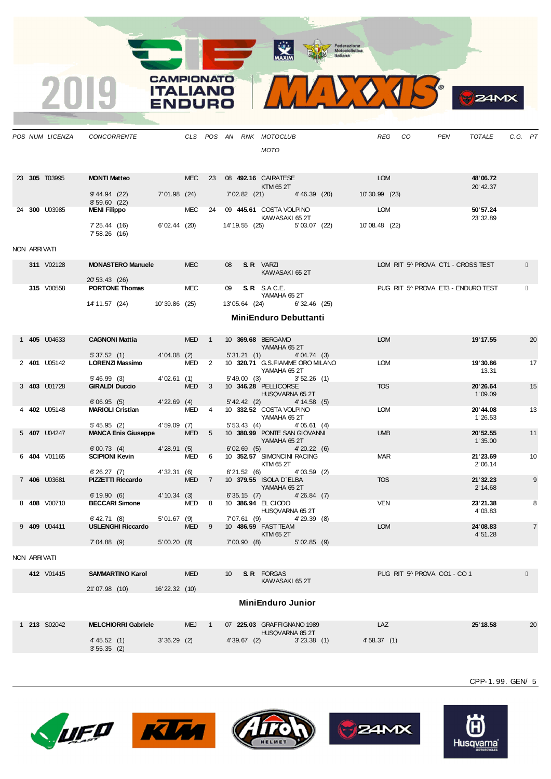MAXIM Pederazione



|              | POS NUM LICENZA | <b>CONCORRENTE</b>                           |                  |            |                            |                                  |                      | CLS POS AN RNK MOTOCLUB<br>MOTO            | REG           | CO                                 | PEN | TOTALE              | C.G. PT |                |
|--------------|-----------------|----------------------------------------------|------------------|------------|----------------------------|----------------------------------|----------------------|--------------------------------------------|---------------|------------------------------------|-----|---------------------|---------|----------------|
|              | 23 305 T03995   | <b>MONTI Matteo</b>                          |                  | <b>MEC</b> | 23                         |                                  |                      | 08 492.16 CAIRATESE                        | <b>LOM</b>    |                                    |     | 48'06.72            |         |                |
|              |                 |                                              |                  |            |                            |                                  |                      | KTM 65 2T                                  |               |                                    |     | 20' 42.37           |         |                |
|              |                 | 9' 44.94 (22)<br>8'59.60(22)                 | $7'01.98$ (24)   |            |                            | 7'02.82 (21)                     |                      | 4'46.39(20)                                | 10'30.99 (23) |                                    |     |                     |         |                |
|              | 24 300 U03985   | <b>MENI Filippo</b>                          |                  | <b>MEC</b> | 24                         |                                  |                      | 09 445.61 COSTA VOLPINO<br>KAWASAKI 652T   | LOM           |                                    |     | 50'57.24            |         |                |
|              |                 | 7' 25.44 (16)<br>7' 58.26 (16)               | 6'02.44(20)      |            |                            | 14' 19.55 (25)                   |                      | 5'03.07(22)                                | 10'08.48 (22) |                                    |     | 23' 32.89           |         |                |
| NON ARRIVATI |                 |                                              |                  |            |                            |                                  |                      |                                            |               |                                    |     |                     |         |                |
|              | 311 V02128      | <b>MONASTERO Manuele</b>                     |                  | <b>MEC</b> |                            | 08                               | <b>S.R.</b> VARZI    |                                            |               | LOM RIT 5^ PROVA CT1 - CROSS TEST  |     |                     |         |                |
|              |                 | 20' 53.43 (26)                               |                  |            |                            |                                  |                      | KAWASAKI 65 2T                             |               |                                    |     |                     |         |                |
|              | 315 V00558      | <b>PORTONE Thomas</b>                        |                  | MEC        |                            | 09                               | <b>S. R</b> S.A.C.E. |                                            |               | PUG RIT 5^ PROVA ET3 - ENDURO TEST |     |                     |         |                |
|              |                 | 14' 11.57 (24)                               | 10'39.86 (25)    |            |                            | 13'05.64 (24)                    |                      | YAMAHA 65 2T<br>$6'32.46$ (25)             |               |                                    |     |                     |         |                |
|              |                 |                                              |                  |            |                            |                                  |                      | <b>MiniEnduro Debuttanti</b>               |               |                                    |     |                     |         |                |
|              |                 |                                              |                  |            |                            |                                  |                      |                                            |               |                                    |     |                     |         |                |
|              | 1 405 U04633    | <b>CAGNONI Mattia</b>                        |                  | <b>MED</b> | $\overline{\phantom{1}}$   | 10 369.68 BERGAMO                |                      |                                            | <b>LOM</b>    |                                    |     | 19' 17.55           |         | 20             |
|              |                 | 5'37.52(1)                                   | 4'04.08(2)       |            |                            | 5'31.21(1)                       |                      | YAMAHA 65 2T<br>4'04.74(3)                 |               |                                    |     |                     |         |                |
|              | 2 401 U05142    | LORENZI Massimo                              |                  | MED 2      |                            |                                  |                      | 10 320.71 G.S.FIAMME ORO MILANO            | <b>LOM</b>    |                                    |     | 19'30.86            |         | 17             |
|              |                 | 5'46.99(3)                                   | 4'02.61(1)       |            |                            | 5' 49.00 (3)                     |                      | YAMAHA 652T<br>3'52.26(1)                  |               |                                    |     | 13.31               |         |                |
|              | 3 403 U01728    | <b>GIRALDI Duccio</b>                        |                  | <b>MED</b> | $\overline{\phantom{a}}$ 3 |                                  |                      | 10 346.28 PELLICORSE<br>HUSQVARNA 65 2T    | <b>TOS</b>    |                                    |     | 20'26.64<br>1'09.09 |         | 15             |
|              | 4 402 U05148    | 6'06.95(5)<br><b>MARIOLI Cristian</b>        | $4'$ 22.69 $(4)$ | <b>MED</b> | $\overline{4}$             | $5' 42.42$ (2)                   |                      | 4' 14.58 (5)<br>10 332.52 COSTA VOLPINO    | <b>LOM</b>    |                                    |     | 20'44.08            |         | 13             |
|              |                 |                                              |                  |            |                            |                                  |                      | YAMAHA 65 2T                               |               |                                    |     | 1'26.53             |         |                |
|              | 5 407 U04247    | 5' 45.95 (2)<br><b>MANCA Enis Giuseppe</b>   | 4'59.09(7)       | <b>MED</b> | 5                          | 5'53.43(4)                       |                      | 4'05.61(4)<br>10 380.99 PONTE SAN GIOVANNI | <b>UMB</b>    |                                    |     | 20' 52.55           |         | 11             |
|              |                 |                                              |                  |            |                            |                                  |                      | YAMAHA 652T                                |               |                                    |     | 1'35.00             |         |                |
|              | 6 404 V01165    | 6'00.73(4)<br><b>SCIPIONI Kevin</b>          | 4'28.91(5)       | <b>MED</b> | - 6                        | 6'02.69(5)                       |                      | 4'20.22(6)<br>10 352.57 SIMONCINI RACING   | <b>MAR</b>    |                                    |     | 21'23.69            |         | 10             |
|              |                 |                                              |                  |            |                            |                                  |                      | KTM 65 2T                                  |               |                                    |     | 2'06.14             |         |                |
|              | 7 406 U03681    | 6'26.27(7)<br><b>PIZZETTI Riccardo</b>       | 4'32.31(6)       | <b>MED</b> | $\overline{7}$             | 6'21.52(6)                       |                      | $4'03.59$ (2)<br>10 379.55 ISOLA D'ELBA    | <b>TOS</b>    |                                    |     | 21'32.23            |         | 9              |
|              |                 |                                              |                  |            |                            |                                  |                      | YAMAHA 65 2T                               |               |                                    |     | 2' 14.68            |         |                |
|              | 8 408 V00710    | 6'19.90(6)<br><b>BECCARI Simone</b>          | 4' 10.34 (3)     | MED        | - 8                        | 6'35.15(7)<br>10 386.94 EL CIODO |                      | 4'26.84(7)                                 | <b>VEN</b>    |                                    |     | 23' 21.38           |         | 8              |
|              |                 |                                              |                  |            |                            |                                  |                      | HUSQVARNA 65 2T                            |               |                                    |     | 4'03.83             |         |                |
|              | 9 409 U04411    | $6'$ 42.71 $(8)$<br><b>USLENGHI Riccardo</b> | 5'01.67(9)       | <b>MED</b> | 9                          | 7'07.61 (9)                      |                      | 4'29.39 (8)<br>10 486.59 FAST TEAM         | <b>LOM</b>    |                                    |     | 24'08.83            |         | $\overline{7}$ |
|              |                 |                                              |                  |            |                            |                                  |                      | KTM 65 2T                                  |               |                                    |     | 4'51.28             |         |                |
|              |                 | 7'04.88(9)                                   | 5'00.20(8)       |            |                            | 7'00.90(8)                       |                      | 5'02.85(9)                                 |               |                                    |     |                     |         |                |
| NON ARRIVATI |                 |                                              |                  |            |                            |                                  |                      |                                            |               |                                    |     |                     |         |                |
|              | 412 V01415      | <b>SAMMARTINO Karol</b>                      |                  | <b>MED</b> |                            | 10 <sup>°</sup>                  | <b>S.R.</b> FORGAS   |                                            |               | PUG RIT 5^ PROVA CO1 - CO 1        |     |                     |         |                |
|              |                 | 21'07.98 (10)                                | 16'22.32 (10)    |            |                            |                                  |                      | KAWASAKI 65 2T                             |               |                                    |     |                     |         |                |
|              |                 |                                              |                  |            |                            |                                  |                      | <b>MiniEnduro Junior</b>                   |               |                                    |     |                     |         |                |
|              | 1 213 S02042    | <b>MELCHIORRI Gabriele</b>                   |                  | <b>MEJ</b> | - 1                        |                                  |                      | 07 225.03 GRAFFIGNANO 1989                 | LAZ           |                                    |     | 25' 18.58           |         | 20             |
|              |                 | 4' 45.52(1)                                  | $3'36.29$ (2)    |            |                            | $4'39.67$ (2)                    |                      | HUSQVARNA 85 2T<br>$3'23.38$ (1)           | 4'58.37(1)    |                                    |     |                     |         |                |
|              |                 | 3'55.35(2)                                   |                  |            |                            |                                  |                      |                                            |               |                                    |     |                     |         |                |

CPP-1. 99. GEN/ 5



2019

**ENDURO** 







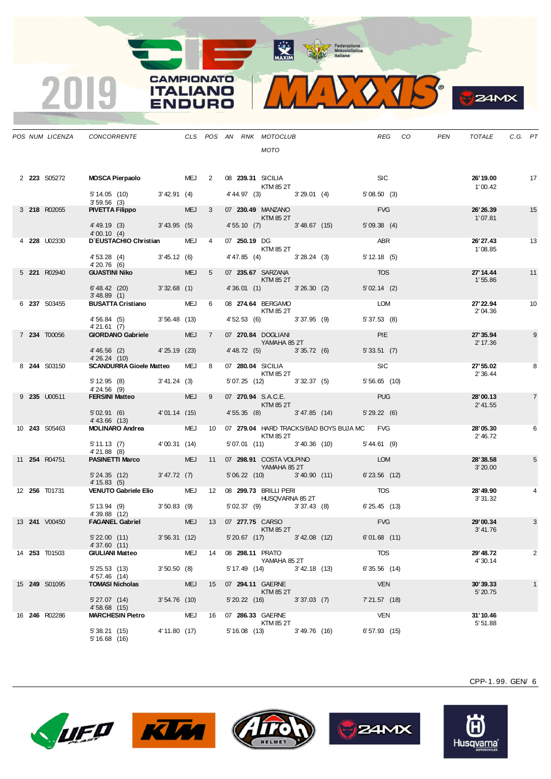

|  |                      | POS NUM LICENZA CONCORRENTE THE CLS POS AN RNK MOTOCLUB                 |                |               |    |  | <b>MOTO</b>                                          |                                             |                | REG CO | PEN | TOTALE                | C.G. PT |                |
|--|----------------------|-------------------------------------------------------------------------|----------------|---------------|----|--|------------------------------------------------------|---------------------------------------------|----------------|--------|-----|-----------------------|---------|----------------|
|  | 2 <b>223</b> S05272  | MOSCA Pierpaolo MEJ 2 08 239.31 SICILIA                                 |                |               |    |  | KTM 85 2T                                            |                                             | SLC            |        |     | 26' 19.00             |         | 17             |
|  |                      | $5'14.05$ (10) $3'42.91$ (4)<br>3'59.56(3)                              |                |               |    |  |                                                      | $4'44.97$ (3) $3'29.01$ (4) $5'08.50$ (3)   |                |        |     | 1'00.42               |         |                |
|  | 3 218 R02055         | <b>PIVETTA Filippo</b>                                                  |                | $MEJ \quad 3$ |    |  | 07 230.49 MANZANO<br>KTM 85 2T                       |                                             | <b>FVG</b>     |        |     | 26'26.39<br>1'07.81   |         | 15             |
|  |                      | 4' 49.19 (3) 3' 43.95 (5)<br>4'00.10(4)                                 |                |               |    |  | 4'55.10 (7) 3'48.67 (15)                             |                                             | 5'09.38(4)     |        |     |                       |         |                |
|  | 4 <b>228</b> U02330  | D'EUSTACHIO Christian                                                   |                | MEJ 4         |    |  | 07 250.19 DG<br><b>KTM 85 2T</b>                     |                                             | ABR            |        |     | 26'27.43<br>1'08.85   |         | 13             |
|  |                      | 4' 53.28 (4) 3' 45.12 (6)<br>4'20.76 (6)                                |                |               |    |  | 4' 47.85 (4) 3' 28.24 (3)                            |                                             | 5' 12.18(5)    |        |     |                       |         |                |
|  | 5 221 R02940         | <b>GUASTINI Niko</b>                                                    |                | MEJ 5         |    |  | 07 235.67 SARZANA<br>KTM 85 2T                       |                                             | <b>TOS</b>     |        |     | 27' 14.44<br>1'55.86  |         | 11             |
|  |                      | $6' 48.42$ (20) $3' 32.68$ (1)<br>3'48.89(1)                            |                |               |    |  |                                                      | 4'36.01 (1) 3'26.30 (2)                     | 5'02.14(2)     |        |     |                       |         |                |
|  | 6 237 S03455         | BUSATTA Cristiano MEJ 6 08 274.64 BERGAMO                               |                |               |    |  | <b>KTM 85 2T</b>                                     |                                             | LOM            |        |     | 27' 22.94<br>2'04.36  |         | 10             |
|  |                      | $4'56.84$ (5) $3'56.48$ (13)<br>4'21.61 (7)                             |                |               |    |  |                                                      | 4' 52.53 (6) 3' 37.95 (9)                   | 5'37.53(8)     |        |     |                       |         |                |
|  | 7 234 T00056         | <b>GIORDANO Gabriele</b>                                                |                | MEJ 7         |    |  | 07 270.84 DOGLIANI<br><b>Example 25 YAMAHA 85 2T</b> |                                             | <b>PIE</b>     |        |     | 27' 35.94<br>2' 17.36 |         | 9              |
|  |                      | $4'46.56$ (2) $4'25.19$ (23)<br>4' 26.24 (10)                           |                |               |    |  |                                                      | 4' 48.72 (5) 3' 35.72 (6)                   | 5'33.51(7)     |        |     |                       |         |                |
|  | 8 244 S03150         | <b>SCANDURRA Gioele Matteo</b>                                          |                | MEJ 8         |    |  | 07 280.04 SICILIA<br><b>KTM 85 2T</b>                |                                             | <b>SIC</b>     |        |     | 27' 55.02<br>2' 36.44 |         | 8              |
|  |                      | 5' 12.95 (8) 3' 41.24 (3)<br>4'24.56 (9)                                |                |               |    |  |                                                      | 5' 07.25 (12) 3' 32.37 (5)                  | $5'56.65$ (10) |        |     |                       |         |                |
|  | 9 <b>235 U00511</b>  | <b>FERSINI Matteo</b>                                                   |                | MEJ 9         |    |  | <b>Example 12 KTM 85 2T</b>                          |                                             | <b>PUG</b>     |        |     | 28'00.13<br>2' 41.55  |         | $\overline{7}$ |
|  |                      | 5'02.91 (6) 4'01.14 (15)<br>$4' 43.66$ (13)                             |                |               |    |  |                                                      | 4' 55.35 (8) 3' 47.85 (14)                  | 5'29.22(6)     |        |     |                       |         |                |
|  | 10 <b>243</b> S05463 | MOLINARO Andrea MEJ 10 07 279.04 HARD TRACKS/BAD BOYS BUJA MC FVG       |                |               |    |  | KTM 85 2T                                            |                                             |                |        |     | 28'05.30<br>2' 46.72  |         | 6              |
|  |                      | 5' 11.13 (7) 4' 00.31 (14)<br>4'21.88(8)                                |                |               |    |  |                                                      | 5' 07.01 (11) 3' 40.36 (10) 5' 44.61 (9)    |                |        |     |                       |         |                |
|  | 11 <b>254</b> R04751 | <b>PASINETTI Marco PASINETTI</b>                                        |                |               |    |  | YAMAHA 85 2T                                         | MEJ 11 07 298.91 COSTA VOLPINO COMPONER LOM |                |        |     | 28'38.58<br>3'20.00   |         | 5              |
|  |                      | 5' 24.35 (12) 3' 47.72 (7)<br>4' 15.83(5)                               |                |               |    |  |                                                      | 5'06.22 (10) 3'40.90 (11)                   | $6'23.56$ (12) |        |     |                       |         |                |
|  | 12 <b>256</b> T01731 | VENUTO Gabriele Elio MEJ 12 08 299.73 BRILLI PERI                       |                |               |    |  | <b>HUSQVARNA 85 2T</b>                               |                                             | <b>TOS</b>     |        |     | 28'49.90<br>3' 31.32  |         |                |
|  |                      | 5' 13.94 (9) 3' 50.83 (9)<br>4'39.88 (12)                               |                |               |    |  |                                                      | 5' 02.37 (9) 3' 37.43 (8) 6' 25.45 (13)     |                |        |     |                       |         |                |
|  | 13 <b>241</b> V00450 | FAGANEL Gabriel MEJ 13 07 277.75 CARSO                                  |                |               |    |  | KTM 85 2T                                            |                                             | <b>FVG</b>     |        |     | 29'00.34<br>3'41.76   |         | 3              |
|  |                      | 5' 22.00 (11) 3' 56.31 (12) 5' 20.67 (17) 3' 42.08 (12)<br>4'37.60 (11) |                |               |    |  |                                                      |                                             | $6'01.68$ (11) |        |     |                       |         |                |
|  | 14 <b>253</b> T01503 | <b>GIULIANI Matteo</b>                                                  |                | MEJ           |    |  | 14 08 298.11 PRATO<br>YAMAHA 85 2T                   |                                             | TOS            |        |     | 29'48.72<br>4' 30.14  |         | 2              |
|  |                      | 5'25.53(13)<br>4'57.46 (14)                                             | 3'50.50(8)     |               |    |  | 5' 17.49 (14) 3' 42.18 (13)                          |                                             | 6'35.56(14)    |        |     |                       |         |                |
|  | 15 <b>249</b> S01095 | <b>TOMASI Nicholas</b>                                                  |                | <b>MEJ</b>    | 15 |  | 07 294.11 GAERNE<br>KTM 85 2T                        |                                             | <b>VEN</b>     |        |     | 30'39.33<br>5' 20.75  |         | $\mathbf{1}$   |
|  |                      | 5' 27.07 (14)<br>4'58.68(15)                                            | $3'54.76$ (10) |               |    |  | 5' 20.22 (16) 3' 37.03 (7)                           |                                             | $7'21.57$ (18) |        |     |                       |         |                |
|  | 16 <b>246</b> R02286 | <b>MARCHESIN Pietro</b>                                                 |                | MEJ           |    |  | 16 07 286.33 GAERNE<br>KTM 85 2T                     |                                             | VEN            |        |     | 31'10.46<br>5' 51.88  |         |                |
|  |                      | 5'38.21(15)<br>5'16.68(16)                                              | 4' 11.80 (17)  |               |    |  | 5' 16.08 (13) 3' 49.76 (16)                          |                                             | $6'57.93$ (15) |        |     |                       |         |                |

**CAMPIONATO** 

**ITALIANO ENDURO** 

2019









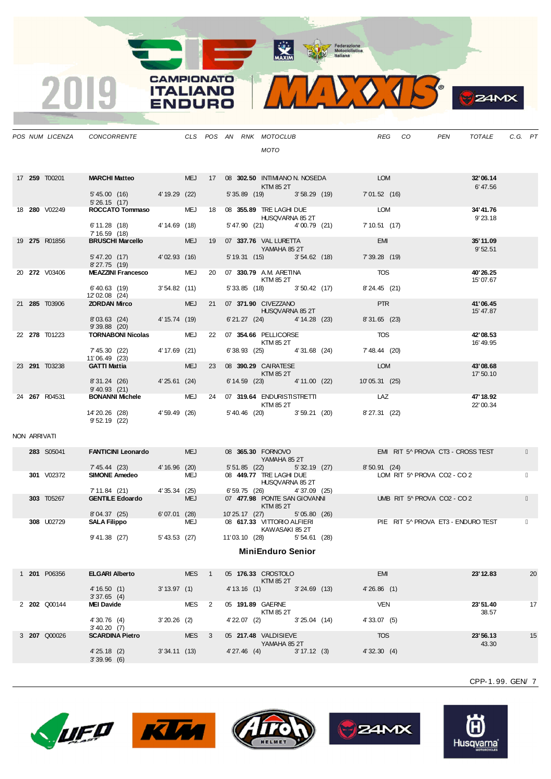

**S**ZAMX

|              | POS NUM LICENZA      | CONCORRENTE                                             |                |                  |    | CLS POS AN RNK MOTOCLUB<br>MOTO                                           |              |                                      |                             | REG CO                                     | PEN<br>TOTALE                      | C.G. PT |    |
|--------------|----------------------|---------------------------------------------------------|----------------|------------------|----|---------------------------------------------------------------------------|--------------|--------------------------------------|-----------------------------|--------------------------------------------|------------------------------------|---------|----|
|              | 17 <b>259</b> T00201 | <b>MARCHI Matteo MARCHI</b>                             |                |                  |    | KTM 85 2T                                                                 |              | MEJ 17 08 302.50 INTIMIANO N. NOSEDA | <b>LOM</b>                  |                                            | 32'06.14<br>6'47.56                |         |    |
|              |                      | 5' 45.00 (16) 4' 19.29 (22)<br>5'26.15(17)              |                |                  |    |                                                                           |              | 5' 35.89 (19) 3' 58.29 (19)          | 7'01.52(16)                 |                                            |                                    |         |    |
|              | 18 280 V02249        | ROCCATO Tommaso                                         |                |                  |    | MEJ 18 08 355.89 TRE LAGHI DUE<br>HUSQVARNA 85 2T                         |              |                                      | <b>LOM</b>                  |                                            | 34'41.76<br>9'23.18                |         |    |
|              |                      | 6' 11.28 (18) 4' 14.69 (18)<br>7' 16.59 (18)            |                |                  |    | 5' 47.90 (21) 4' 00.79 (21)                                               |              |                                      | 7' 10.51 (17)               |                                            |                                    |         |    |
|              | 19 275 R01856        | <b>BRUSCHI Marcello</b>                                 | 4'02.93 (16)   | <b>MEJ</b>       | 19 | 07 337.76 VAL LURETTA<br><b>Example 21 YAMAHA 85 2T</b>                   |              |                                      | <b>EMI</b>                  |                                            | 35'11.09<br>9'52.51                |         |    |
|              |                      | 5' 47.20 (17)<br>8'27.75(19)                            |                |                  |    | 5' 19.31 (15) 3' 54.62 (18)                                               |              |                                      | 7' 39.28 (19)<br><b>TOS</b> |                                            |                                    |         |    |
|              | 20 272 V03406        | <b>MEAZZINI Francesco</b>                               | 3'54.82(11)    |                  |    | MEJ 20 07 330.79 A.M. ARETINA<br>KTM 85 2T<br>5' 33.85 (18) 3' 50.42 (17) |              |                                      |                             |                                            | 40'26.25<br>15'07.67               |         |    |
|              | 21 285 T03906        | $6' 40.63$ (19)<br>12'02.08 (24)<br><b>ZORDAN Mirco</b> |                | <b>MEJ</b>       | 21 | 07 371.90 CIVEZZANO                                                       |              |                                      | 8'24.45 (21)<br><b>PTR</b>  |                                            | 41'06.45                           |         |    |
|              |                      | 8'03.63 (24)                                            | 4' 15.74 (19)  |                  |    | HUSQVARNA 85 2T<br>6'21.27 (24) 4'14.28 (23)                              |              |                                      | 8'31.65 (23)                |                                            | 15' 47.87                          |         |    |
|              | 22 278 T01223        | $9'39.88$ (20)<br><b>TORNABONI Nicolas</b>              |                | MEJ              |    | 22 07 354.66 PELLICORSE                                                   |              |                                      | <b>TOS</b>                  |                                            | 42'08.53                           |         |    |
|              |                      | 7' 45.30 (22)                                           | 4' 17.69 (21)  |                  |    | KTM 85 2T<br>6'38.93 (25) 4'31.68 (24)                                    |              |                                      | 7' 48.44 (20)               |                                            | 16' 49.95                          |         |    |
|              | 23 291 T03238        | 11'06.49 (23)<br><b>GATTI Mattia</b>                    |                | <b>MEJ</b>       | 23 | 08 390.29 CAIRATESE                                                       |              |                                      | LOM                         |                                            | 43'08.68                           |         |    |
|              |                      | 8'31.24 (26) 4'25.61 (24)                               |                |                  |    | KTM 85 2T<br>6' 14.59 (23) 4' 11.00 (22)                                  |              |                                      | 10'05.31 (25)               |                                            | 17' 50.10                          |         |    |
|              | 24 267 R04531        | 9' 40.93 (21)<br><b>BONANNI Michele</b>                 |                |                  |    | MEJ 24 07 319.64 ENDURISTISTRETTI                                         |              |                                      | LAZ                         |                                            | 47' 18.92                          |         |    |
|              |                      | 14'20.26 (28)                                           | 4'59.49 (26)   |                  |    | KTM 85 2T<br>5' 40.46 (20) 3' 59.21 (20)                                  |              |                                      | 8'27.31 (22)                |                                            | 22' 00.34                          |         |    |
|              |                      | $9'52.19$ (22)                                          |                |                  |    |                                                                           |              |                                      |                             |                                            |                                    |         |    |
| NON ARRIVATI |                      |                                                         |                |                  |    |                                                                           |              |                                      |                             |                                            |                                    |         |    |
|              | 283 S05041           | <b>FANTICINI Leonardo</b>                               |                | <b>MEJ</b>       |    | 08 365.30 FORNOVO<br>YAMAHA 85 2T                                         |              |                                      |                             |                                            | EMI RIT 5^ PROVA CT3 - CROSS TEST  |         |    |
|              | 301 V02372           | 7' 45.44 (23)<br><b>SIMONE Amedeo</b>                   | 4' 16.96 (20)  | MEJ              |    | 5' 51.85 (22) 5' 32.19 (27)<br>08 449.77 TRE LAGHI DUE                    |              |                                      |                             | 8'50.91(24)<br>LOM RIT 5^ PROVA CO2 - CO 2 |                                    |         |    |
|              |                      | 7' 11.84 (21) 4' 35.34 (25)                             |                |                  |    | HUSQVARNA 85 2T<br>6' 59.75 (26) 4' 37.09 (25)                            |              |                                      |                             |                                            |                                    |         |    |
|              | 303 T05267           | <b>GENTILE Edoardo</b>                                  |                | <b>MEJ</b>       |    | 07 477.98 PONTE SAN GIOVANNI<br>KTM 85 2T                                 |              |                                      |                             | UMB RIT 5^ PROVA CO2 - CO 2                |                                    |         |    |
|              | 308 U02729           | 8'04.37 (25)<br><b>SALA Filippo</b>                     | 6'07.01(28)    | MEJ              |    | 10' 25.17 (27)<br>08 617.33 VITTORIO ALFIERI                              | 5'05.80(26)  |                                      |                             |                                            | PIE RIT 5^ PROVA ET3 - ENDURO TEST |         |    |
|              |                      | 9'41.38(27)                                             | 5'43.53 (27)   |                  |    | KAWASAKI 85 2T<br>11'03.10 (28)                                           | 5'54.61(28)  |                                      |                             |                                            |                                    |         |    |
|              |                      |                                                         |                |                  |    | .<br><b>MINIENQUIO SENIOR</b>                                             |              |                                      |                             |                                            |                                    |         |    |
|              |                      |                                                         |                |                  |    |                                                                           |              |                                      |                             |                                            |                                    |         |    |
|              | 1 201 P06356         | <b>ELGARI Alberto</b><br>4'16.50(1)                     | $3' 13.97$ (1) | MES <sub>1</sub> |    | 05 176.33 CROSTOLO<br>KTM 85 2T<br>4' 13.16 (1) 3' 24.69 (13)             |              |                                      | <b>EMI</b><br>4'26.86(1)    |                                            | 23' 12.83                          |         | 20 |
|              | 2 202 Q00144         | 3'37.65(4)<br><b>MEI Davide</b>                         |                | MES <sub>2</sub> |    | 05 191.89 GAERNE                                                          |              |                                      | VEN                         |                                            | 23'51.40                           |         | 17 |
|              |                      | 4' 30.76 (4)                                            | $3'20.26$ (2)  |                  |    | KTM 85 2T<br>4'22.07 (2) 3'25.04 (14)                                     |              |                                      | 4'33.07(5)                  |                                            | 38.57                              |         |    |
|              | 3 207 Q00026         | 3' 40.20 (7)<br><b>SCARDINA Pietro</b>                  |                | MES <sub>3</sub> |    | 05 217.48 VALDISIEVE                                                      |              |                                      | <b>TOS</b>                  |                                            | 23'56.13                           |         | 15 |
|              |                      |                                                         |                |                  |    | YAMAHA 85 2T                                                              |              |                                      |                             |                                            | 43.30                              |         |    |
|              |                      |                                                         |                |                  |    |                                                                           |              |                                      |                             |                                            |                                    |         |    |
|              |                      | 4'25.18(2)<br>3'39.96(6)                                | 3'34.11(13)    |                  |    | 4'27.46(4)                                                                | 3' 17.12 (3) |                                      | 4'32.30(4)                  |                                            |                                    |         |    |

**CAMPIONATO** 

**ITALIANO** 

**ENDURO** 

2019









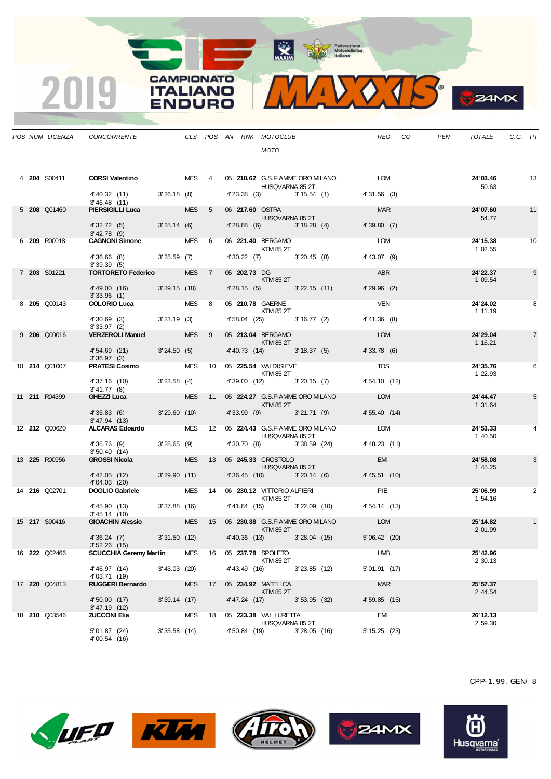MAXIM Pederazione



**B**ZAMX

|  |                      | POS NUM LICENZA CONCORRENTE THE CLS POS AN RNK MOTOCLUB                        |                 |                  |                |               | <b>MOTO</b>                                           |                |                                            | REG CO          | PEN | TOTALE                | C.G. PT |                |
|--|----------------------|--------------------------------------------------------------------------------|-----------------|------------------|----------------|---------------|-------------------------------------------------------|----------------|--------------------------------------------|-----------------|-----|-----------------------|---------|----------------|
|  | 4 204 S00411         | <b>CORSI Valentino</b> MES 4 05 210.62 G.S.FIAMME ORO MILANO LOM               |                 |                  |                |               | HUSQVARNA 85 2T                                       |                |                                            |                 |     | 24'03.46<br>50.63     |         | 13             |
|  |                      | 4' 40.32 (11) 3' 26.18 (8)<br>3'46.48(11)                                      |                 |                  |                |               |                                                       |                | 4'23.38 (3) 3'15.54 (1) 4'31.56 (3)        |                 |     |                       |         |                |
|  | 5 208 Q01460         | <b>PIERSIGILLI Luca</b>                                                        |                 | MES 5            |                |               | 06 217.60 OSTRA<br>HUSQVARNA 85 2T                    |                |                                            | <b>MAR</b>      |     | 24'07.60<br>54.77     |         | 11             |
|  |                      | 4' 32.72 (5) 3' 25.14 (6)<br>$3' 42.78$ (9)                                    |                 |                  |                |               | 4'28.88 (6) 3'18.28 (4)                               |                |                                            | 4'39.80(7)      |     |                       |         |                |
|  | 6 209 R00018         | CAGNONI Simone MES 6                                                           |                 |                  |                |               | 06 221.40 BERGAMO<br><b>KTM 85 2T</b>                 |                |                                            | <b>LOM</b>      |     | 24' 15.38<br>1'02.55  |         | 10             |
|  |                      | 4'36.66 (8) 3'25.59 (7)<br>3'39.39(5)                                          |                 |                  |                |               | 4' 30.22 (7) 3' 20.45 (8)                             |                |                                            | $4' 43.07$ (9)  |     |                       |         |                |
|  | 7 203 S01221         | <b>TORTORETO Federico</b>                                                      |                 | MES <sub>7</sub> |                |               | 05 202.73 DG<br>KTM 85 2T                             |                |                                            | ABR             |     | 24' 22.37<br>1'09.54  |         | 9              |
|  |                      | 4'49.00 (16) 3'39.15 (18)<br>3'33.96(1)                                        |                 |                  |                |               |                                                       |                | 4'28.15 (5) 3'22.15 (11) 4'29.96 (2)       |                 |     |                       |         |                |
|  | 8 205 Q00143         | <b>COLORIO Luca</b> MES 8                                                      |                 |                  |                |               | 05 210.78 GAERNE<br><b>KTM 85 2T</b>                  |                |                                            | <b>VEN</b>      |     | 24' 24.02<br>1' 11.19 |         | 8              |
|  |                      | 4'30.69 (3) 3'23.19 (3)<br>3'33.97(2)                                          |                 |                  |                |               |                                                       |                | 4' 58.04 (25) 3' 16.77 (2) 4' 41.36 (8)    |                 |     |                       |         |                |
|  | 9 206 Q00016         | <b>VERZEROLI Manuel</b>                                                        |                 | <b>MES</b>       | 9 <sup>1</sup> |               | 05 213.04 BERGAMO<br><b>Example 12 KTM 85 2T</b>      |                |                                            | <b>LOM</b>      |     | 24' 29.04<br>1' 16.21 |         | $\overline{7}$ |
|  |                      | 4' 54.69 (21) 3' 24.50 (5)<br>3'36.97(3)                                       |                 |                  |                |               |                                                       |                | 4' 40.73 (14) 3' 18.37 (5)                 | 4'33.78(6)      |     |                       |         |                |
|  | 10 <b>214</b> Q01007 | <b>PRATESI Cosimo</b> MES 10 05 225.54 VALDISIEVE                              |                 |                  |                |               | <b>KTM 85 2T</b>                                      |                |                                            | <b>TOS</b>      |     | 24'35.76<br>1' 22.93  |         | 6              |
|  |                      | 4' 37.16 (10) 3' 23.58 (4)<br>$3' 41.77$ (8)                                   |                 |                  |                |               |                                                       |                | 4'39.00 (12) 3'20.15 (7) 4'54.10 (12)      |                 |     |                       |         |                |
|  | 11 211 R04399        | GHEZZI Luca                                                                    |                 |                  |                |               | KTM 85 2T                                             |                | MES 11 05 224.27 G.S.FIAMME ORO MILANO LOM |                 |     | 24' 44.47<br>1'31.64  |         | 5              |
|  |                      | 4'35.83 (6) 3'29.60 (10)<br>3' 47.94 (13)                                      |                 |                  |                |               |                                                       |                | 4'33.99 (9) 3'21.71 (9) 4'55.40 (14)       |                 |     |                       |         |                |
|  | 12 <b>212</b> Q00620 | ALCARAS Edoardo MES 12 05 224.43 G.S.FIAMME ORO MILANO LOM                     |                 |                  |                |               | HUSQVARNA 85 2T                                       |                |                                            |                 |     | 24'53.33<br>1'40.50   |         | 4              |
|  |                      | 4' 36.76 (9) 3' 28.65 (9)<br>3'50.40(14)                                       |                 |                  |                |               | 4'30.70 (8) 3'38.59 (24)                              |                |                                            | 4'48.23 (11)    |     |                       |         |                |
|  | 13 225 R00956        | <b>GROSSI Nicola</b>                                                           |                 |                  |                |               | MES 13 05 245.33 CROSTOLO<br><b>HUSQVARNA 85 2T</b>   |                |                                            | <b>EMI</b>      |     | 24'58.08<br>1'45.25   |         | 3              |
|  |                      | 4'42.05 (12) 3'29.90 (11)<br>4'04.03 (20)                                      |                 |                  |                |               | 4'36.45 (10) 3'20.14 (6)                              |                |                                            | 4' 45.51 (10)   |     |                       |         |                |
|  | 14 <b>216</b> Q02701 | DOGLIO Gabriele                                                                |                 |                  |                |               | MES 14 06 230.12 VITTORIO ALFIERI<br><b>KTM 85 2T</b> |                |                                            | PIE             |     | 25'06.99<br>1'54.16   |         | 2              |
|  |                      | 4' 45.90 (13) 3' 37.88 (16)<br>3'45.14(10)                                     |                 |                  |                |               |                                                       |                | 4' 41.84 (15) 3' 22.09 (10) 4' 54.14 (13)  |                 |     |                       |         |                |
|  | 15 217 S00416        | <b>GIOACHIN Alessio</b>                                                        |                 |                  |                |               | KTM 85 2T                                             |                | MES 15 05 230.38 G.S.FIAMME ORO MILANO     | <b>LOM</b>      |     | 25' 14.82<br>2'01.99  |         | $\mathbf{1}$   |
|  |                      | 4'36.24 (7) 3'31.50 (12) 4'40.36 (13) 3'28.04 (15) 5'06.42 (20)<br>3'52.26(15) |                 |                  |                |               |                                                       |                |                                            |                 |     |                       |         |                |
|  | 16 <b>222</b> Q02466 | <b>SCUCCHIA Geremy Martin</b>                                                  |                 | MES              |                |               | 16 05 237.78 SPOLETO<br>KTM 85 2T                     |                |                                            | <b>UMB</b>      |     | 25' 42.96<br>2'30.13  |         |                |
|  |                      | 4' 46.97 (14)<br>4'03.71 (19)                                                  | $3' 43.03$ (20) |                  |                | 4' 43.49 (16) |                                                       | 3'23.85(12)    |                                            | 5'01.91(17)     |     |                       |         |                |
|  | 17 220 Q04813        | <b>RUGGERI Bernardo</b>                                                        |                 | <b>MES</b>       | 17             |               | 05 234.92 MATELICA<br>KTM 85 2T                       |                |                                            | <b>MAR</b>      |     | 25' 57.37<br>2' 44.54 |         |                |
|  |                      | 4' 50.00 (17)<br>$3' 47.19$ (12)                                               | $3'39.14$ (17)  |                  |                | 4' 47.24 (17) |                                                       | 3'53.95(32)    |                                            | 4'59.85(15)     |     |                       |         |                |
|  | 18 210 Q03546        | <b>ZUCCONI Elia</b>                                                            |                 | MES              | 18             |               | 05 223.38 VAL LURETTA<br>HUSQVARNA 85 2T              |                |                                            | EMI             |     | 26' 12.13<br>2'59.30  |         |                |
|  |                      | 5'01.87 (24)<br>4'00.54 (16)                                                   | $3'35.58$ (14)  |                  |                | 4' 50.84 (19) |                                                       | $3'28.05$ (16) |                                            | $5' 15.25$ (23) |     |                       |         |                |

**CAMPIONATO** 

**ITALIANO** 

**ENDURO** 

2019











Husqvarna®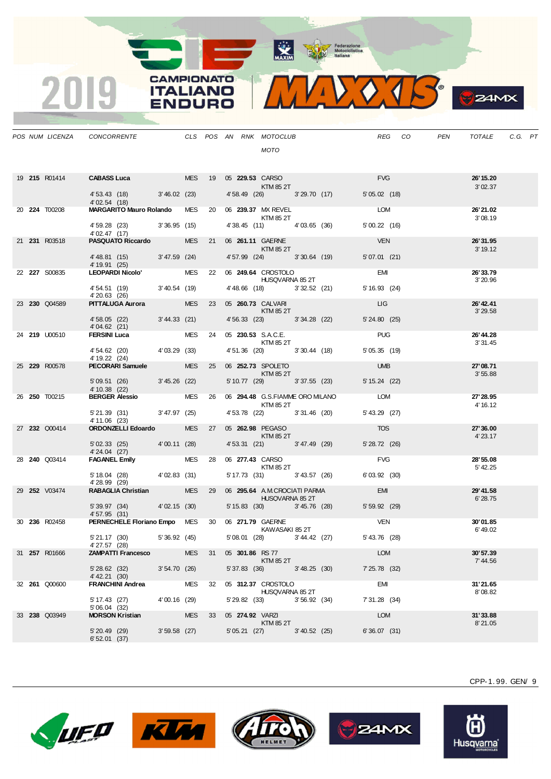

**S**ZAMX

|  | POS NUM LICENZA      | CONCORRENTE CLS POS AN RNK MOTOCLUB                                                          |                |  |                        | MOTO                                           |                             |                           | REG CO | PEN | TOTALE                | C.G. PT |  |
|--|----------------------|----------------------------------------------------------------------------------------------|----------------|--|------------------------|------------------------------------------------|-----------------------------|---------------------------|--------|-----|-----------------------|---------|--|
|  |                      | 19 215 R01414 CABASS Luca MES 19 05 229.53 CARSO<br>KTM 85 2T<br>4' 53.43 (18) 3' 46.02 (23) |                |  |                        |                                                | 4'58.49 (26) 3'29.70 (17)   | <b>FVG</b><br>5'05.02(18) |        |     | 26' 15.20<br>3'02.37  |         |  |
|  |                      | 4' 02.54 (18)                                                                                |                |  |                        |                                                |                             |                           |        |     |                       |         |  |
|  | 20 224 T00208        | MARGARITO Mauro Rolando MES 20 06 239.37 MX REVEL                                            |                |  |                        | <b>KTM 85 2T</b>                               |                             | LOM                       |        |     | 26'21.02<br>3'08.19   |         |  |
|  |                      | 4' 59.28 (23) 3' 36.95 (15)<br>4' 02.47 (17)                                                 |                |  |                        |                                                | 4' 38.45 (11) 4' 03.65 (36) | 5'00.22(16)               |        |     |                       |         |  |
|  | 21 231 R03518        | PASQUATO Riccardo MES 21 06 261.11 GAERNE                                                    |                |  |                        | <b>Example 25 ST EXTM 85 2T</b>                |                             | <b>VEN</b>                |        |     | 26'31.95<br>3' 19.12  |         |  |
|  |                      | 4'48.81 (15) 3'47.59 (24)<br>4' 19.91 (25)                                                   |                |  |                        |                                                | 4' 57.99 (24) 3' 30.64 (19) | 5'07.01(21)               |        |     |                       |         |  |
|  | 22 227 S00835        | 4 19.91 (25)<br>LEOPARDI Nicolo' MES 22 06 249.64 CROSTOLO                                   |                |  | <b>HUSQVARNA 85 2T</b> |                                                |                             | <b>EMI</b>                |        |     | 26'33.79<br>3'20.96   |         |  |
|  |                      | 4' 54.51 (19) 3' 40.54 (19)<br>4'20.63 (26)                                                  |                |  |                        |                                                | 4' 48.66 (18) 3' 32.52 (21) | 5' 16.93 (24)             |        |     |                       |         |  |
|  | 23 230 Q04589        | PITTALUGA Aurora MES 23 05 260.73 CALVARI                                                    |                |  | <b>KTM 85 2T</b>       |                                                |                             | <b>LIG</b>                |        |     | 26' 42.41<br>3'29.58  |         |  |
|  |                      | 4'58.05 (22) 3'44.33 (21)<br>4'04.62(21)                                                     |                |  |                        |                                                | 4' 56.33 (23) 3' 34.28 (22) | $5' 24.80$ (25)           |        |     |                       |         |  |
|  | 24 219 U00510        | <b>FERSINI Luca</b> MES 24 05 <b>230.53</b> S.A.C.E.<br>KTM 85 2T                            |                |  |                        |                                                |                             | <b>PUG</b>                |        |     | 26' 44.28<br>3' 31.45 |         |  |
|  |                      | $4'54.62$ (20) $4'03.29$ (33)<br>4' 19.22 (24)                                               |                |  |                        |                                                | 4'51.36 (20) 3'30.44 (18)   | 5'05.35(19)               |        |     |                       |         |  |
|  | 25 229 R00578        | PECORARI Samuele MES 25 06 252.73 SPOLETO                                                    |                |  |                        | KTM 85 2T                                      |                             | <b>UMB</b>                |        |     | 27'08.71              |         |  |
|  |                      | 5'09.51 (26) 3'45.26 (22)                                                                    |                |  |                        |                                                | 5' 10.77 (29) 3' 37.55 (23) | 5' 15.24 (22)             |        |     | 3'55.88               |         |  |
|  | 26 <b>250</b> T00215 | 4'10.38 (22)<br>BERGER Alessio MES 26 06 294.48 G.S.FIAMME ORO MILANO LOM                    |                |  |                        | KTM 85 2T                                      |                             |                           |        |     | 27' 28.95<br>4' 16.12 |         |  |
|  |                      | 5' 21.39 (31) 3' 47.97 (25)<br>4' 11.06 (23)                                                 |                |  |                        |                                                | 4' 53.78 (22) 3' 31.46 (20) | 5' 43.29 (27)             |        |     |                       |         |  |
|  | 27 232 Q00414        | ORDONZELLI Edoardo MES 27 05 262.98 PEGASO                                                   |                |  | KTM 85 2T              |                                                |                             | <b>TOS</b>                |        |     | 27'36.00<br>4' 23.17  |         |  |
|  |                      | $5'02.33$ (25) $4'00.11$ (28)                                                                |                |  |                        |                                                | 4' 53.31 (21) 3' 47.49 (29) | 5'28.72(26)               |        |     |                       |         |  |
|  | 28 <b>240</b> Q03414 | 4'24.04 (27)<br><b>FAGANEL Emily</b> MES 28 06 <b>277.43</b> CARSO                           |                |  |                        |                                                |                             | <b>FVG</b>                |        |     | 28'55.08              |         |  |
|  |                      | 5' 18.04 (28) 4' 02.83 (31)                                                                  |                |  | <b>KTM 85 2T</b>       |                                                | 5' 17.73 (31) 3' 43.57 (26) | 6'03.92(30)               |        |     | 5' 42.25              |         |  |
|  | 29 252 V03474        | 4'28.99 (29)<br>RABAGLIA Christian MES 29 06 295.64 A.M.CROCIATI PARMA                       |                |  |                        |                                                |                             | <b>EMI</b>                |        |     | 29' 41.58             |         |  |
|  |                      | 5' 39.97 (34) 4' 02.15 (30)                                                                  |                |  | <b>HUSQVARNA 85 2T</b> |                                                | 5' 15.83 (30) 3' 45.76 (28) | 5' 59.92 (29)             |        |     | 6'28.75               |         |  |
|  | 30 236 R02458        | 4'57.95 (31)<br>PERNECHELE Floriano Empo MES 30 06 271.79 GAERNE<br>KAWASAKI 85 2T           |                |  |                        |                                                |                             | <b>VEN</b>                |        |     | 30'01.85              |         |  |
|  |                      | 5' 21.17 (30) 5' 36.92 (45)                                                                  |                |  |                        |                                                | 5'08.01 (28) 3'44.42 (27)   | 5' 43.76 (28)             |        |     | 6'49.02               |         |  |
|  | 31 <b>257</b> R01666 | 4'27.57 (28)<br><b>ZAMPATTI Francesco</b> MES 31 05 301.86 RS 77                             |                |  |                        |                                                |                             | LOM                       |        |     | 30'57.39              |         |  |
|  |                      | 5' 28.62 (32) 3' 54.70 (26)                                                                  |                |  |                        | KTM 85 2T<br>5' 37.83 (36) 3' 48.25 (30)       |                             | 7' 25.78 (32)             |        |     | 7' 44.56              |         |  |
|  | 32 <b>261 Q00600</b> | 4' 42.21 (30)<br>FRANCHINI Andrea MES 32 05 312.37 CROSTOLO                                  |                |  |                        |                                                |                             | EMI                       |        |     | 31'21.65              |         |  |
|  |                      | 5' 17.43 (27) 4' 00.16 (29)                                                                  |                |  |                        | HUSQVARNA 85 2T<br>5' 29.82 (33) 3' 56.92 (34) |                             | 7' 31.28 (34)             |        |     | 8'08.82               |         |  |
|  | 33 <b>238</b> Q03949 | 5'06.04 (32)<br><b>MORSON Kristian</b>                                                       |                |  | MES 33 05 274.92 VARZI |                                                |                             | <b>LOM</b>                |        |     | 31'33.88              |         |  |
|  |                      | 5' 20.49 (29)<br>6'52.01(37)                                                                 | $3'59.58$ (27) |  |                        | KTM 85 2T<br>5' 05.21 (27) 3' 40.52 (25)       |                             | $6'36.07$ (31)            |        |     | 8'21.05               |         |  |
|  |                      |                                                                                              |                |  |                        |                                                |                             |                           |        |     |                       |         |  |

**CAMPIONATO** 

**ITALIANO** 

**ENDURO** 

2019